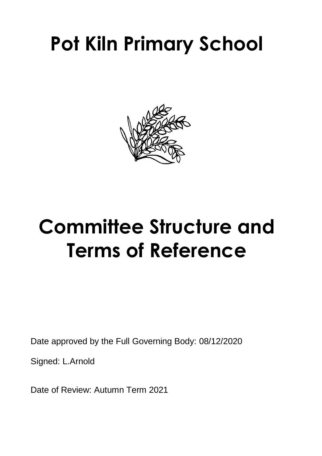

# **Committee Structure and Terms of Reference**

Date approved by the Full Governing Body: 08/12/2020

Signed: L.Arnold

Date of Review: Autumn Term 2021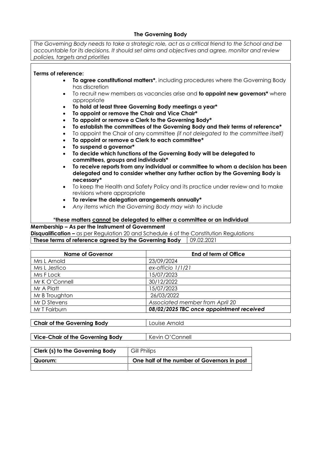#### **The Governing Body**

*The Governing Body needs to take a strategic role, act as a critical friend to the School and be accountable for its decisions. It should set aims and objectives and agree, monitor and review policies, targets and priorities*

#### **Terms of reference:**

- **To agree constitutional matters\***, including procedures where the Governing Body has discretion
- To recruit new members as vacancies arise and **to appoint new governors\*** where appropriate
- **To hold at least three Governing Body meetings a year\***
- **To appoint or remove the Chair and Vice Chair\***
- **To appoint or remove a Clerk to the Governing Body\***
- **To establish the committees of the Governing Body and their terms of reference\***
- To appoint the Chair of any committee *(if not delegated to the committee itself)*
- **To appoint or remove a Clerk to each committee\***
- **To suspend a governor\***
- **To decide which functions of the Governing Body will be delegated to committees, groups and individuals\***
- **To receive reports from any individual or committee to whom a decision has been delegated and to consider whether any further action by the Governing Body is necessary\***
- To keep the Health and Safety Policy and its practice under review and to make revisions where appropriate
- **To review the delegation arrangements annually\***
- *Any items which the Governing Body may wish to include*

#### \***these matters cannot be delegated to either a committee or an individual**

#### **Membership – As per the Instrument of Government**

**Disqualification –** as per Regulation 20 and Schedule 6 of the Constitution Regulations **These terms of reference agreed by the Governing Body** 09.02.2021

| <b>Name of Governor</b> | End of term of Office                    |
|-------------------------|------------------------------------------|
| Mrs L Arnold            | 23/09/2024                               |
| Mrs L Jestico           | ex-officio 1/1/21                        |
| Mrs F Lock              | 15/07/2023                               |
| Mr K O'Connell          | 30/12/2022                               |
| Mr A Platt              | 15/07/2023                               |
| Mr B Troughton          | 26/03/2022                               |
| Mr D Stevens            | Associated member from April 20          |
| Mr T Fairburn           | 08/02/2025 TBC once appointment received |

| Chair of the Governing Body | Louise Arnold |
|-----------------------------|---------------|
|                             |               |

| Kevin O'Connell<br>Vice-Chair of the Governing Body |
|-----------------------------------------------------|
|-----------------------------------------------------|

| Clerk (s) to the Governing Body | Gill Philips                                |
|---------------------------------|---------------------------------------------|
|                                 |                                             |
| Quorum:                         | One half of the number of Governors in post |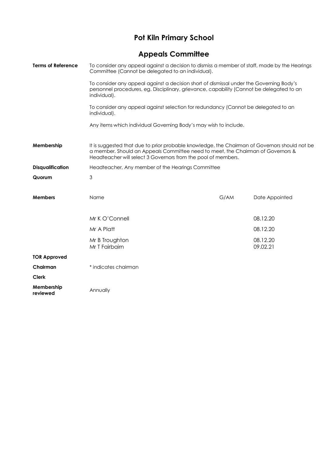## **Appeals Committee**

| <b>Terms of Reference</b> | To consider any appeal against a decision to dismiss a member of staff, made by the Hearings<br>Committee (Cannot be delegated to an individual).                                                                                                 |      |                      |
|---------------------------|---------------------------------------------------------------------------------------------------------------------------------------------------------------------------------------------------------------------------------------------------|------|----------------------|
|                           | To consider any appeal against a decision short of dismissal under the Governing Body's<br>personnel procedures, eg. Disciplinary, grievance, capability (Cannot be delegated to an<br>individual).                                               |      |                      |
|                           | To consider any appeal against selection for redundancy (Cannot be delegated to an<br>individual).                                                                                                                                                |      |                      |
|                           | Any items which individual Governing Body's may wish to include.                                                                                                                                                                                  |      |                      |
| Membership                | It is suggested that due to prior probable knowledge, the Chairman of Governors should not be<br>a member. Should an Appeals Committee need to meet, the Chairman of Governors &<br>Headteacher will select 3 Governors from the pool of members. |      |                      |
| <b>Disqualification</b>   | Headteacher, Any member of the Hearings Committee                                                                                                                                                                                                 |      |                      |
| Quorum                    | $\mathfrak{S}$                                                                                                                                                                                                                                    |      |                      |
| <b>Members</b>            | Name                                                                                                                                                                                                                                              | G/AM | Date Appointed       |
|                           | Mr K O'Connell                                                                                                                                                                                                                                    |      | 08.12.20             |
|                           | Mr A Platt                                                                                                                                                                                                                                        |      | 08.12.20             |
|                           | Mr B Troughton<br>Mr T Fairbairn                                                                                                                                                                                                                  |      | 08.12.20<br>09.02.21 |
| <b>TOR Approved</b>       |                                                                                                                                                                                                                                                   |      |                      |
| Chairman                  | * indicates chairman                                                                                                                                                                                                                              |      |                      |
| <b>Clerk</b>              |                                                                                                                                                                                                                                                   |      |                      |
| Membership<br>reviewed    | Annually                                                                                                                                                                                                                                          |      |                      |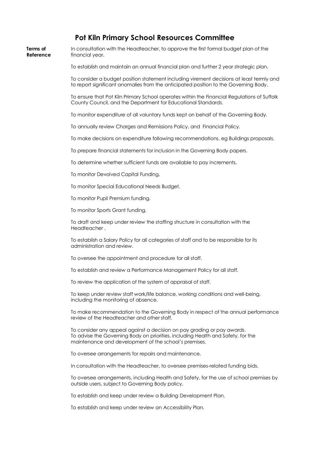#### **Pot Kiln Primary School Resources Committee**

| Terms of<br>Reference | In consultation with the Headteacher, to approve the first formal budget plan of the<br>financial year.                                                                                                              |
|-----------------------|----------------------------------------------------------------------------------------------------------------------------------------------------------------------------------------------------------------------|
|                       | To establish and maintain an annual financial plan and further 2 year strategic plan.                                                                                                                                |
|                       | To consider a budget position statement including virement decisions at least termly and<br>to report significant anomalies from the anticipated position to the Governing Body.                                     |
|                       | To ensure that Pot Kiln Primary School operates within the Financial Regulations of Suffolk<br>County Council, and the Department for Educational Standards.                                                         |
|                       | To monitor expenditure of all voluntary funds kept on behalf of the Governing Body.                                                                                                                                  |
|                       | To annually review Charges and Remissions Policy, and Financial Policy.                                                                                                                                              |
|                       | To make decisions on expenditure following recommendations, eg Buildings proposals.                                                                                                                                  |
|                       | To prepare financial statements for inclusion in the Governing Body papers.                                                                                                                                          |
|                       | To determine whether sufficient funds are available to pay increments.                                                                                                                                               |
|                       | To monitor Devolved Capital Funding.                                                                                                                                                                                 |
|                       | To monitor Special Educational Needs Budget.                                                                                                                                                                         |
|                       | To monitor Pupil Premium funding.                                                                                                                                                                                    |
|                       | To monitor Sports Grant funding.                                                                                                                                                                                     |
|                       | To draft and keep under review the staffing structure in consultation with the<br>Headteacher.                                                                                                                       |
|                       | To establish a Salary Policy for all categories of staff and to be responsible for its<br>administration and review.                                                                                                 |
|                       | To oversee the appointment and procedure for all staff.                                                                                                                                                              |
|                       | To establish and review a Performance Management Policy for all staff.                                                                                                                                               |
|                       | To review the application of the system of appraisal of staff.                                                                                                                                                       |
|                       | To keep under review staff work/life balance, working conditions and well-being,<br>including the monitoring of absence.                                                                                             |
|                       | To make recommendation to the Governing Body in respect of the annual performance<br>review of the Headteacher and other staff.                                                                                      |
|                       | To consider any appeal against a decision on pay grading or pay awards.<br>To advise the Governing Body on priorities, including Health and Safety, for the<br>maintenance and development of the school's premises. |
|                       | To oversee arrangements for repairs and maintenance.                                                                                                                                                                 |
|                       | In consultation with the Headteacher, to oversee premises-related funding bids.                                                                                                                                      |
|                       |                                                                                                                                                                                                                      |

To oversee arrangements, including Health and Safety, for the use of school premises by outside users, subject to Governing Body policy.

To establish and keep under review a Building Development Plan.

To establish and keep under review an Accessibility Plan.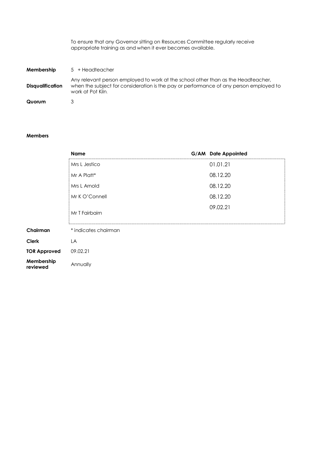To ensure that any Governor sitting on Resources Committee regularly receive appropriate training as and when it ever becomes available.

| Membership              | $5 +$ Headteacher                                                                                                                                                                                |
|-------------------------|--------------------------------------------------------------------------------------------------------------------------------------------------------------------------------------------------|
| <b>Disqualification</b> | Any relevant person employed to work at the school other than as the Headteacher,<br>when the subject for consideration is the pay or performance of any person employed to<br>work at Pot Kiln. |
| Quorum                  |                                                                                                                                                                                                  |

#### **Members**

|                        | <b>Name</b>          | G/AM Date Appointed |
|------------------------|----------------------|---------------------|
|                        | Mrs L Jestico        | 01.01.21            |
|                        | Mr A Platt*          | 08.12.20            |
|                        | Mrs L Arnold         | 08.12.20            |
|                        | Mr K O'Connell       | 08.12.20            |
|                        | Mr T Fairbairn       | 09.02.21            |
| Chairman               | * indicates chairman |                     |
| <b>Clerk</b>           | LA                   |                     |
| <b>TOR Approved</b>    | 09.02.21             |                     |
| Membership<br>reviewed | Annually             |                     |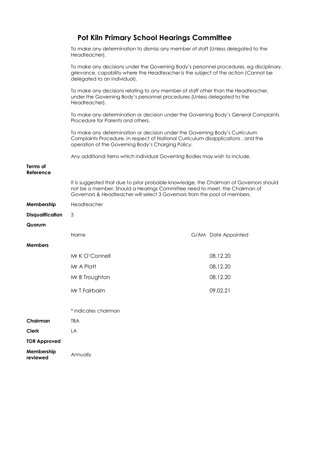|  | <b>Pot Kiln Primary School Hearings Committee</b> |  |
|--|---------------------------------------------------|--|
|--|---------------------------------------------------|--|

|                         | To make any determination to dismiss any member of staff (Unless delegated to the<br>Headteacher).                                                                                                                                                |                     |
|-------------------------|---------------------------------------------------------------------------------------------------------------------------------------------------------------------------------------------------------------------------------------------------|---------------------|
|                         | To make any decisions under the Governing Body's personnel procedures, eg disciplinary,<br>grievance, capability where the Headteacher is the subject of the action (Cannot be<br>delegated to an individual).                                    |                     |
|                         | To make any decisions relating to any member of staff other than the Headteacher,<br>under the Governing Body's personnel procedures (Unless delegated to the<br>Headteacher).                                                                    |                     |
|                         | To make any determination or decision under the Governing Body's General Complaints<br>Procedure for Parents and others.                                                                                                                          |                     |
|                         | To make any determination or decision under the Governing Body's Curriculum<br>Complaints Procedure, in respect of National Curriculum disapplications, and the<br>operation of the Governing Body's Charging Policy.                             |                     |
|                         | Any additional items which individual Governing Bodies may wish to include.                                                                                                                                                                       |                     |
| Terms of<br>Reference   |                                                                                                                                                                                                                                                   |                     |
|                         | It is suggested that due to prior probable knowledge, the Chairman of Governors should<br>not be a member. Should a Hearings Committee need to meet, the Chairman of<br>Governors & Headteacher will select 3 Governors from the pool of members. |                     |
| Membership              | Headteacher                                                                                                                                                                                                                                       |                     |
| <b>Disqualification</b> | 3                                                                                                                                                                                                                                                 |                     |
| Quorum                  |                                                                                                                                                                                                                                                   |                     |
|                         | Name                                                                                                                                                                                                                                              | G/AM Date Appointed |
| <b>Members</b>          |                                                                                                                                                                                                                                                   |                     |
|                         | Mr K O'Connell                                                                                                                                                                                                                                    | 08.12.20            |
|                         | Mr A Platt                                                                                                                                                                                                                                        | 08.12.20            |
|                         | Mr B Troughton                                                                                                                                                                                                                                    | 08.12.20            |
|                         | Mr T Fairbairn                                                                                                                                                                                                                                    | 09.02.21            |
|                         | * indicates chairman                                                                                                                                                                                                                              |                     |
| Chairman                | <b>TBA</b>                                                                                                                                                                                                                                        |                     |
| <b>Clerk</b>            | LA                                                                                                                                                                                                                                                |                     |
| <b>TOR Approved</b>     |                                                                                                                                                                                                                                                   |                     |
| Membership<br>reviewed  | Annually                                                                                                                                                                                                                                          |                     |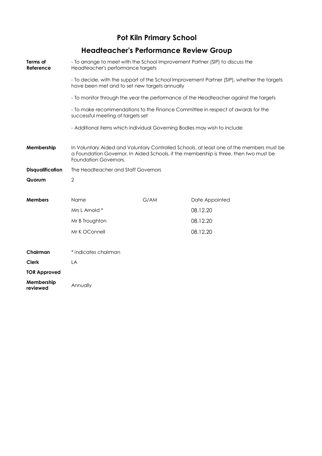**Headteacher's Performance Review Group**

| Terms of<br>Reference   | - To arrange to meet with the School Improvement Partner (SIP) to discuss the<br>Headteacher's performance targets                                                                                         |      |                                                                                            |  |
|-------------------------|------------------------------------------------------------------------------------------------------------------------------------------------------------------------------------------------------------|------|--------------------------------------------------------------------------------------------|--|
|                         | have been met and to set new targets annually                                                                                                                                                              |      | - To decide, with the support of the School Improvement Partner (SIP), whether the targets |  |
|                         | - To monitor through the year the performance of the Headteacher against the targets                                                                                                                       |      |                                                                                            |  |
|                         | - To make recommendations to the Finance Committee in respect of awards for the<br>successful meeting of targets set                                                                                       |      |                                                                                            |  |
|                         | - Additional items which individual Governing Bodies may wish to include                                                                                                                                   |      |                                                                                            |  |
| Membership              | In Voluntary Aided and Voluntary Controlled Schools, at least one of the members must be<br>a Foundation Governor. In Aided Schools, if the membership is three, then two must be<br>Foundation Governors. |      |                                                                                            |  |
| <b>Disqualification</b> | The Headteacher and Staff Governors                                                                                                                                                                        |      |                                                                                            |  |
| Quorum                  | $\overline{2}$                                                                                                                                                                                             |      |                                                                                            |  |
| <b>Members</b>          | Name                                                                                                                                                                                                       | G/AM | Date Appointed                                                                             |  |
|                         | Mrs L Arnold *                                                                                                                                                                                             |      | 08.12.20                                                                                   |  |
|                         | Mr B Troughton                                                                                                                                                                                             |      | 08.12.20                                                                                   |  |
|                         | Mr K OConnell                                                                                                                                                                                              |      | 08.12.20                                                                                   |  |
| Chairman                | * indicates chairman                                                                                                                                                                                       |      |                                                                                            |  |
| <b>Clerk</b>            | LA                                                                                                                                                                                                         |      |                                                                                            |  |
| <b>TOR Approved</b>     |                                                                                                                                                                                                            |      |                                                                                            |  |
| Membership<br>reviewed  | Annually                                                                                                                                                                                                   |      |                                                                                            |  |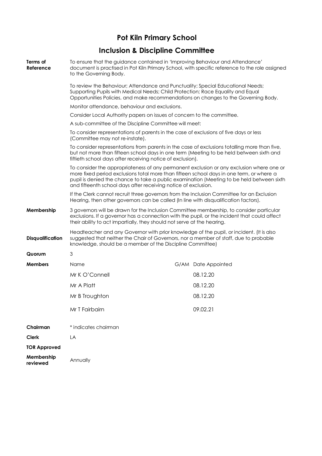## **Inclusion & Discipline Committee**

| Terms of<br>Reference   | To ensure that the guidance contained in 'Improving Behaviour and Attendance'<br>document is practised in Pot Kiln Primary School, with specific reference to the role assigned<br>to the Governing Body.                                                                                                                                           |                     |
|-------------------------|-----------------------------------------------------------------------------------------------------------------------------------------------------------------------------------------------------------------------------------------------------------------------------------------------------------------------------------------------------|---------------------|
|                         | To review the Behaviour; Attendance and Punctuality; Special Educational Needs;<br>Supporting Pupils with Medical Needs; Child Protection; Race Equality and Equal<br>Opportunities Policies, and make recommendations on changes to the Governing Body.                                                                                            |                     |
|                         | Monitor attendance, behaviour and exclusions.                                                                                                                                                                                                                                                                                                       |                     |
|                         | Consider Local Authority papers on issues of concern to the committee.                                                                                                                                                                                                                                                                              |                     |
|                         | A sub-committee of the Discipline Committee will meet:                                                                                                                                                                                                                                                                                              |                     |
|                         | To consider representations of parents in the case of exclusions of five days or less<br>(Committee may not re-instate).                                                                                                                                                                                                                            |                     |
|                         | To consider representations from parents in the case of exclusions totalling more than five,<br>but not more than fifteen school days in one term (Meeting to be held between sixth and<br>fiftieth school days after receiving notice of exclusion).                                                                                               |                     |
|                         | To consider the appropriateness of any permanent exclusion or any exclusion where one or<br>more fixed period exclusions total more than fifteen school days in one term, or where a<br>pupil is denied the chance to take a public examination (Meeting to be held between sixth<br>and fifteenth school days after receiving notice of exclusion. |                     |
|                         | If the Clerk cannot recruit three governors from the Inclusion Committee for an Exclusion<br>Hearing, then other governors can be called (In line with disqualification factors).                                                                                                                                                                   |                     |
| Membership              | 3 governors will be drawn for the Inclusion Committee membership, to consider particular<br>exclusions. If a governor has a connection with the pupil, or the incident that could affect<br>their ability to act impartially, they should not serve at the hearing.                                                                                 |                     |
| <b>Disqualification</b> | Headteacher and any Governor with prior knowledge of the pupil, or incident. (It is also<br>suggested that neither the Chair of Governors, nor a member of staff, due to probable<br>knowledge, should be a member of the Discipline Committee)                                                                                                     |                     |
| Quorum                  | 3                                                                                                                                                                                                                                                                                                                                                   |                     |
| <b>Members</b>          | Name                                                                                                                                                                                                                                                                                                                                                | G/AM Date Appointed |
|                         | Mr K O'Connell                                                                                                                                                                                                                                                                                                                                      | 08.12.20            |
|                         | Mr A Platt                                                                                                                                                                                                                                                                                                                                          | 08.12.20            |
|                         | Mr B Troughton                                                                                                                                                                                                                                                                                                                                      | 08.12.20            |
|                         | Mr T Fairbairn                                                                                                                                                                                                                                                                                                                                      | 09.02.21            |
| Chairman                | * indicates chairman                                                                                                                                                                                                                                                                                                                                |                     |
| <b>Clerk</b>            | LA                                                                                                                                                                                                                                                                                                                                                  |                     |
| <b>TOR Approved</b>     |                                                                                                                                                                                                                                                                                                                                                     |                     |
|                         |                                                                                                                                                                                                                                                                                                                                                     |                     |
| Membership<br>reviewed  | Annually                                                                                                                                                                                                                                                                                                                                            |                     |